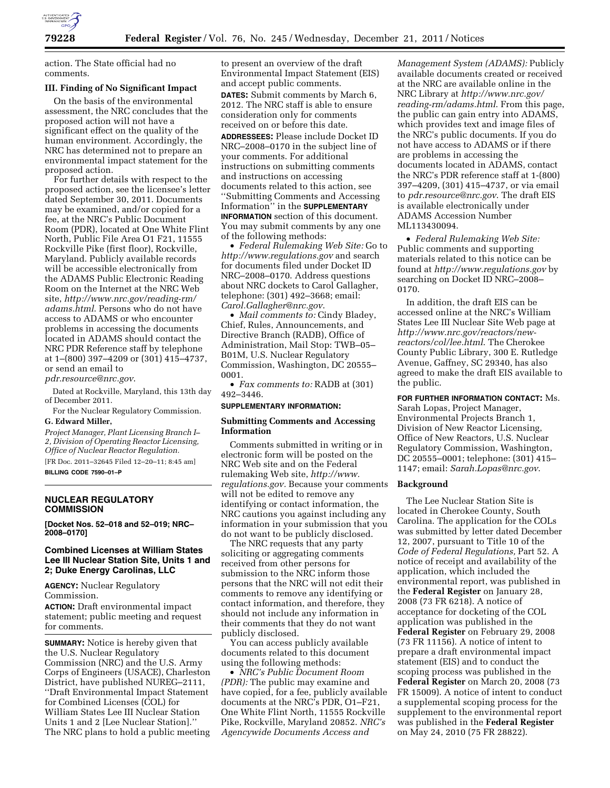

action. The State official had no comments.

# **III. Finding of No Significant Impact**

On the basis of the environmental assessment, the NRC concludes that the proposed action will not have a significant effect on the quality of the human environment. Accordingly, the NRC has determined not to prepare an environmental impact statement for the proposed action.

For further details with respect to the proposed action, see the licensee's letter dated September 30, 2011. Documents may be examined, and/or copied for a fee, at the NRC's Public Document Room (PDR), located at One White Flint North, Public File Area O1 F21, 11555 Rockville Pike (first floor), Rockville, Maryland. Publicly available records will be accessible electronically from the ADAMS Public Electronic Reading Room on the Internet at the NRC Web site, *[http://www.nrc.gov/reading-rm/](http://www.nrc.gov/reading-rm/adams.html)  [adams.html](http://www.nrc.gov/reading-rm/adams.html)*. Persons who do not have access to ADAMS or who encounter problems in accessing the documents located in ADAMS should contact the NRC PDR Reference staff by telephone at 1–(800) 397–4209 or (301) 415–4737, or send an email to *[pdr.resource@nrc.gov](mailto:pdr.resource@nrc.gov)*.

Dated at Rockville, Maryland, this 13th day of December 2011.

For the Nuclear Regulatory Commission.

# **G. Edward Miller,**

*Project Manager, Plant Licensing Branch I– 2, Division of Operating Reactor Licensing, Office of Nuclear Reactor Regulation.*  [FR Doc. 2011–32645 Filed 12–20–11; 8:45 am] **BILLING CODE 7590–01–P** 

### **NUCLEAR REGULATORY COMMISSION**

**[Docket Nos. 52–018 and 52–019; NRC– 2008–0170]** 

# **Combined Licenses at William States Lee III Nuclear Station Site, Units 1 and 2; Duke Energy Carolinas, LLC**

**AGENCY:** Nuclear Regulatory Commission.

**ACTION:** Draft environmental impact statement; public meeting and request for comments.

**SUMMARY:** Notice is hereby given that the U.S. Nuclear Regulatory Commission (NRC) and the U.S. Army Corps of Engineers (USACE), Charleston District, have published NUREG–2111, ''Draft Environmental Impact Statement for Combined Licenses (COL) for William States Lee III Nuclear Station Units 1 and 2 [Lee Nuclear Station].'' The NRC plans to hold a public meeting

to present an overview of the draft Environmental Impact Statement (EIS) and accept public comments.

**DATES:** Submit comments by March 6, 2012. The NRC staff is able to ensure consideration only for comments received on or before this date.

**ADDRESSEES:** Please include Docket ID NRC–2008–0170 in the subject line of your comments. For additional instructions on submitting comments and instructions on accessing documents related to this action, see ''Submitting Comments and Accessing Information'' in the **SUPPLEMENTARY INFORMATION** section of this document. You may submit comments by any one of the following methods:

• *Federal Rulemaking Web Site:* Go to *<http://www.regulations.gov>* and search for documents filed under Docket ID NRC–2008–0170. Address questions about NRC dockets to Carol Gallagher, telephone: (301) 492–3668; email: *[Carol.Gallagher@nrc.gov](mailto:Carol.Gallagher@nrc.gov)*.

• *Mail comments to:* Cindy Bladey, Chief, Rules, Announcements, and Directive Branch (RADB), Office of Administration, Mail Stop: TWB–05– B01M, U.S. Nuclear Regulatory Commission, Washington, DC 20555– 0001.

• *Fax comments to:* RADB at (301) 492–3446.

#### **SUPPLEMENTARY INFORMATION:**

## **Submitting Comments and Accessing Information**

Comments submitted in writing or in electronic form will be posted on the NRC Web site and on the Federal rulemaking Web site, *[http://www.](http://www.regulations.gov) [regulations.gov.](http://www.regulations.gov)* Because your comments will not be edited to remove any identifying or contact information, the NRC cautions you against including any information in your submission that you do not want to be publicly disclosed.

The NRC requests that any party soliciting or aggregating comments received from other persons for submission to the NRC inform those persons that the NRC will not edit their comments to remove any identifying or contact information, and therefore, they should not include any information in their comments that they do not want publicly disclosed.

You can access publicly available documents related to this document using the following methods:

• *NRC's Public Document Room (PDR):* The public may examine and have copied, for a fee, publicly available documents at the NRC's PDR, O1–F21, One White Flint North, 11555 Rockville Pike, Rockville, Maryland 20852. *NRC's Agencywide Documents Access and* 

*Management System (ADAMS):* Publicly available documents created or received at the NRC are available online in the NRC Library at *[http://www.nrc.gov/](http://www.nrc.gov/reading-rm/adams.html) [reading-rm/adams.html](http://www.nrc.gov/reading-rm/adams.html)*. From this page, the public can gain entry into ADAMS, which provides text and image files of the NRC's public documents. If you do not have access to ADAMS or if there are problems in accessing the documents located in ADAMS, contact the NRC's PDR reference staff at 1-(800) 397–4209, (301) 415–4737, or via email to *[pdr.resource@nrc.gov](mailto:pdr.resource@nrc.gov)*. The draft EIS is available electronically under ADAMS Accession Number ML113430094.

• *Federal Rulemaking Web Site:*  Public comments and supporting materials related to this notice can be found at *<http://www.regulations.gov>* by searching on Docket ID NRC–2008– 0170.

In addition, the draft EIS can be accessed online at the NRC's William States Lee III Nuclear Site Web page at *[http://www.nrc.gov/reactors/new](http://www.nrc.gov/reactors/new-reactors/col/lee.html)[reactors/col/lee.html](http://www.nrc.gov/reactors/new-reactors/col/lee.html)*. The Cherokee County Public Library, 300 E. Rutledge Avenue, Gaffney, SC 29340, has also agreed to make the draft EIS available to the public.

**FOR FURTHER INFORMATION CONTACT:** Ms. Sarah Lopas, Project Manager, Environmental Projects Branch 1, Division of New Reactor Licensing, Office of New Reactors, U.S. Nuclear Regulatory Commission, Washington, DC 20555–0001; telephone: (301) 415– 1147; email: *[Sarah.Lopas@nrc.gov](mailto:Sarah.Lopas@nrc.gov)*.

#### **Background**

The Lee Nuclear Station Site is located in Cherokee County, South Carolina. The application for the COLs was submitted by letter dated December 12, 2007, pursuant to Title 10 of the *Code of Federal Regulations,* Part 52. A notice of receipt and availability of the application, which included the environmental report, was published in the **Federal Register** on January 28, 2008 (73 FR 6218). A notice of acceptance for docketing of the COL application was published in the **Federal Register** on February 29, 2008 (73 FR 11156). A notice of intent to prepare a draft environmental impact statement (EIS) and to conduct the scoping process was published in the **Federal Register** on March 20, 2008 (73 FR 15009). A notice of intent to conduct a supplemental scoping process for the supplement to the environmental report was published in the **Federal Register**  on May 24, 2010 (75 FR 28822).